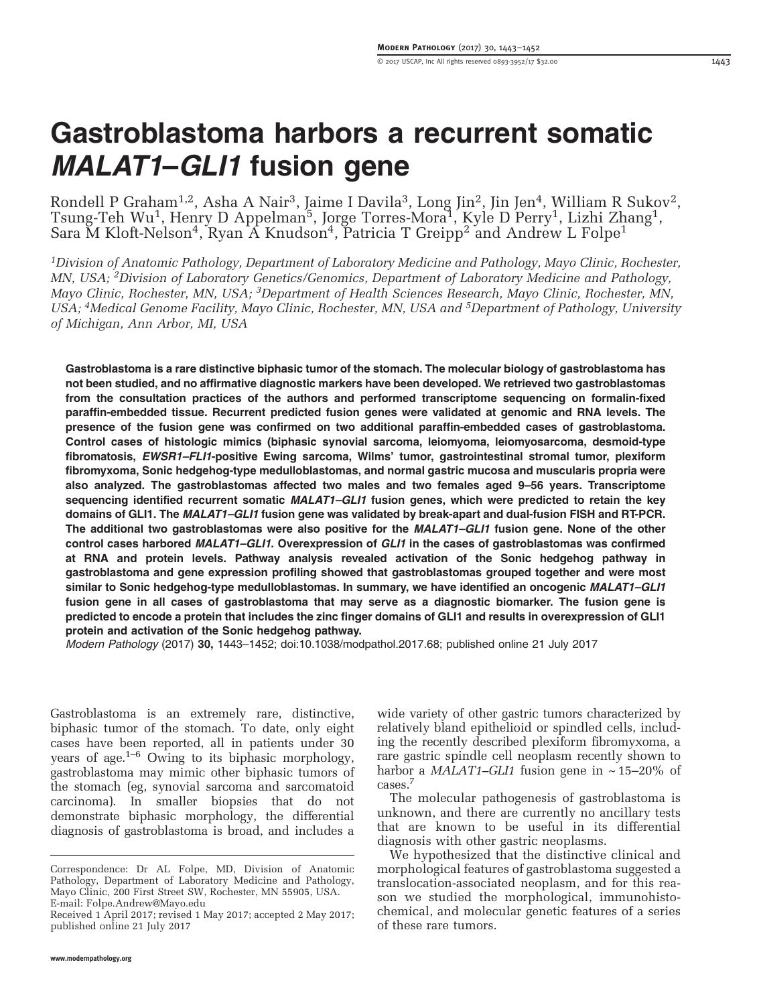# Gastroblastoma harbors a recurrent somatic MALAT1–GLI1 fusion gene

Rondell P Graham $^{1,2}$ , Asha A Nair $^3$ , Jaime I Davila $^3$ , Long Jin $^2$ , Jin Jen $^4$ , William R Sukov $^2$ , Tsung-Teh Wu<sup>1</sup>, Henry D Appelman<sup>5</sup>, Jorge Torres-Mora<sup>1</sup>, Kyle D Perry<sup>1</sup>, Lizhi Zhang<sup>1</sup>, Sara M Kloft-Nelson<sup>4</sup>, Ryan A Knudson<sup>4</sup>, Patricia T Greipp<sup>2</sup> and Andrew L Folpe<sup>1</sup>

<sup>1</sup>Division of Anatomic Pathology, Department of Laboratory Medicine and Pathology, Mayo Clinic, Rochester, MN, USA; 2Division of Laboratory Genetics/Genomics, Department of Laboratory Medicine and Pathology, Mayo Clinic, Rochester, MN, USA; <sup>3</sup>Department of Health Sciences Research, Mayo Clinic, Rochester, MN, USA; <sup>4</sup>Medical Genome Facility, Mayo Clinic, Rochester, MN, USA and <sup>5</sup>Department of Pathology, University of Michigan, Ann Arbor, MI, USA

Gastroblastoma is a rare distinctive biphasic tumor of the stomach. The molecular biology of gastroblastoma has not been studied, and no affirmative diagnostic markers have been developed. We retrieved two gastroblastomas from the consultation practices of the authors and performed transcriptome sequencing on formalin-fixed paraffin-embedded tissue. Recurrent predicted fusion genes were validated at genomic and RNA levels. The presence of the fusion gene was confirmed on two additional paraffin-embedded cases of gastroblastoma. Control cases of histologic mimics (biphasic synovial sarcoma, leiomyoma, leiomyosarcoma, desmoid-type fibromatosis, EWSR1-FLI1-positive Ewing sarcoma, Wilms' tumor, gastrointestinal stromal tumor, plexiform fibromyxoma, Sonic hedgehog-type medulloblastomas, and normal gastric mucosa and muscularis propria were also analyzed. The gastroblastomas affected two males and two females aged 9–56 years. Transcriptome sequencing identified recurrent somatic MALAT1-GLI1 fusion genes, which were predicted to retain the key domains of GLI1. The MALAT1–GLI1 fusion gene was validated by break-apart and dual-fusion FISH and RT-PCR. The additional two gastroblastomas were also positive for the MALAT1-GLI1 fusion gene. None of the other control cases harbored MALAT1-GLI1. Overexpression of GLI1 in the cases of gastroblastomas was confirmed at RNA and protein levels. Pathway analysis revealed activation of the Sonic hedgehog pathway in gastroblastoma and gene expression profiling showed that gastroblastomas grouped together and were most similar to Sonic hedgehog-type medulloblastomas. In summary, we have identified an oncogenic MALAT1-GLI1 fusion gene in all cases of gastroblastoma that may serve as a diagnostic biomarker. The fusion gene is predicted to encode a protein that includes the zinc finger domains of GLI1 and results in overexpression of GLI1 protein and activation of the Sonic hedgehog pathway.

Modern Pathology (2017) 30, 1443–1452; doi[:10.1038/modpathol.2017.68;](http://dx.doi.org/10.1038/modpathol.2017.68) published online 21 July 2017

Gastroblastoma is an extremely rare, distinctive, biphasic tumor of the stomach. To date, only eight cases have been reported, all in patients under 30 years of age.1–[6](#page-8-0) Owing to its biphasic morphology, gastroblastoma may mimic other biphasic tumors of the stomach (eg, synovial sarcoma and sarcomatoid carcinoma). In smaller biopsies that do not demonstrate biphasic morphology, the differential diagnosis of gastroblastoma is broad, and includes a

wide variety of other gastric tumors characterized by relatively bland epithelioid or spindled cells, including the recently described plexiform fibromyxoma, a rare gastric spindle cell neoplasm recently shown to harbor a *MALAT1–GLI1* fusion gene in  $\sim$  15–20% of cases[.7](#page-8-0)

The molecular pathogenesis of gastroblastoma is unknown, and there are currently no ancillary tests that are known to be useful in its differential diagnosis with other gastric neoplasms.

We hypothesized that the distinctive clinical and morphological features of gastroblastoma suggested a translocation-associated neoplasm, and for this reason we studied the morphological, immunohistochemical, and molecular genetic features of a series of these rare tumors.

Correspondence: Dr AL Folpe, MD, Division of Anatomic Pathology, Department of Laboratory Medicine and Pathology, Mayo Clinic, 200 First Street SW, Rochester, MN 55905, USA. E-mail: [Folpe.Andrew@Mayo.edu](mailto:Folpe.Andrew@Mayo.edu)

Received 1 April 2017; revised 1 May 2017; accepted 2 May 2017; published online 21 July 2017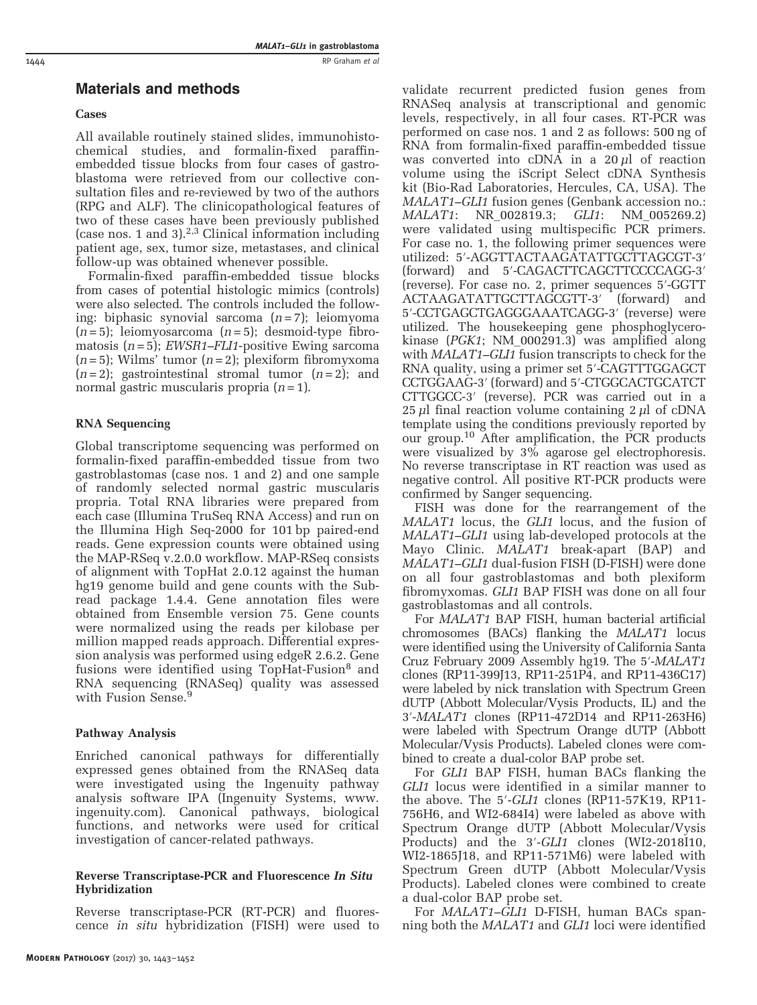# Materials and methods

# Cases

All available routinely stained slides, immunohistochemical studies, and formalin-fixed paraffinembedded tissue blocks from four cases of gastroblastoma were retrieved from our collective consultation files and re-reviewed by two of the authors (RPG and ALF). The clinicopathological features of two of these cases have been previously published (case nos. 1 and 3). $2,3$  Clinical information including patient age, sex, tumor size, metastases, and clinical follow-up was obtained whenever possible.

Formalin-fixed paraffin-embedded tissue blocks from cases of potential histologic mimics (controls) were also selected. The controls included the following: biphasic synovial sarcoma  $(n=7)$ ; leiomyoma  $(n=5)$ ; leiomyosarcoma  $(n=5)$ ; desmoid-type fibromatosis  $(n=5)$ ; *EWSR1–FLI1*-positive Ewing sarcoma  $(n=5)$ ; Wilms' tumor  $(n=2)$ ; plexiform fibromyxoma  $(n=2)$ ; gastrointestinal stromal tumor  $(n=2)$ ; and normal gastric muscularis propria  $(n=1)$ .

# RNA Sequencing

Global transcriptome sequencing was performed on formalin-fixed paraffin-embedded tissue from two gastroblastomas (case nos. 1 and 2) and one sample of randomly selected normal gastric muscularis propria. Total RNA libraries were prepared from each case (Illumina TruSeq RNA Access) and run on the Illumina High Seq-2000 for 101 bp paired-end reads. Gene expression counts were obtained using the MAP-RSeq v.2.0.0 workflow. MAP-RSeq consists of alignment with TopHat 2.0.12 against the human hg19 genome build and gene counts with the Subread package 1.4.4. Gene annotation files were obtained from Ensemble version 75. Gene counts were normalized using the reads per kilobase per million mapped reads approach. Differential expression analysis was performed using edgeR 2.6.2. Gene fusions were identified using TopHat-Fusion<sup>[8](#page-8-0)</sup> and RNA sequencing (RNASeq) quality was assessed with Fusion Sense.<sup>[9](#page-8-0)</sup>

# Pathway Analysis

Enriched canonical pathways for differentially expressed genes obtained from the RNASeq data were investigated using the Ingenuity pathway analysis software IPA (Ingenuity Systems, [www.](www.ingenuity.com) [ingenuity.com\)](www.ingenuity.com). Canonical pathways, biological functions, and networks were used for critical investigation of cancer-related pathways.

# Reverse Transcriptase-PCR and Fluorescence In Situ Hybridization

Reverse transcriptase-PCR (RT-PCR) and fluorescence in situ hybridization (FISH) were used to validate recurrent predicted fusion genes from RNASeq analysis at transcriptional and genomic levels, respectively, in all four cases. RT-PCR was performed on case nos. 1 and 2 as follows: 500 ng of RNA from formalin-fixed paraffin-embedded tissue was converted into cDNA in a  $20 \mu l$  of reaction volume using the iScript Select cDNA Synthesis kit (Bio-Rad Laboratories, Hercules, CA, USA). The MALAT1–GLI1 fusion genes (Genbank accession no.: MALAT1: NR\_002819.3; GLI1: NM\_005269.2) were validated using multispecific PCR primers. For case no. 1, the following primer sequences were utilized: 5′-AGGTTACTAAGATATTGCTTAGCGT-3′ (forward) and 5′-CAGACTTCAGCTTCCCCAGG-3′ (reverse). For case no. 2, primer sequences 5′-GGTT ACTAAGATATTGCTTAGCGTT-3′ (forward) and 5′-CCTGAGCTGAGGGAAATCAGG-3′ (reverse) were utilized. The housekeeping gene phosphoglycerokinase (PGK1; NM\_000291.3) was amplified along with *MALAT1–GLI1* fusion transcripts to check for the RNA quality, using a primer set 5′-CAGTTTGGAGCT CCTGGAAG-3′ (forward) and 5′-CTGGCACTGCATCT CTTGGCC-3′ (reverse). PCR was carried out in a  $25 \mu$ l final reaction volume containing  $2 \mu$ l of cDNA template using the conditions previously reported by our group[.10](#page-8-0) After amplification, the PCR products were visualized by  $3\%$  agarose gel electrophoresis. No reverse transcriptase in RT reaction was used as negative control. All positive RT-PCR products were confirmed by Sanger sequencing.

FISH was done for the rearrangement of the MALAT1 locus, the GLI1 locus, and the fusion of MALAT1–GLI1 using lab-developed protocols at the Mayo Clinic. MALAT1 break-apart (BAP) and MALAT1–GLI1 dual-fusion FISH (D-FISH) were done on all four gastroblastomas and both plexiform fibromyxomas. GLI1 BAP FISH was done on all four gastroblastomas and all controls.

For MALAT1 BAP FISH, human bacterial artificial chromosomes (BACs) flanking the MALAT1 locus were identified using the University of California Santa Cruz February 2009 Assembly hg19. The 5′-MALAT1 clones (RP11-399J13, RP11-251P4, and RP11-436C17) were labeled by nick translation with Spectrum Green dUTP (Abbott Molecular/Vysis Products, IL) and the 3′-MALAT1 clones (RP11-472D14 and RP11-263H6) were labeled with Spectrum Orange dUTP (Abbott Molecular/Vysis Products). Labeled clones were combined to create a dual-color BAP probe set.

For GLI1 BAP FISH, human BACs flanking the GLI1 locus were identified in a similar manner to the above. The 5′-GLI1 clones (RP11-57K19, RP11- 756H6, and WI2-684I4) were labeled as above with Spectrum Orange dUTP (Abbott Molecular/Vysis Products) and the 3′-GLI1 clones (WI2-2018I10, WI2-1865J18, and RP11-571M6) were labeled with Spectrum Green dUTP (Abbott Molecular/Vysis Products). Labeled clones were combined to create a dual-color BAP probe set.

For MALAT1–GLI1 D-FISH, human BACs spanning both the MALAT1 and GLI1 loci were identified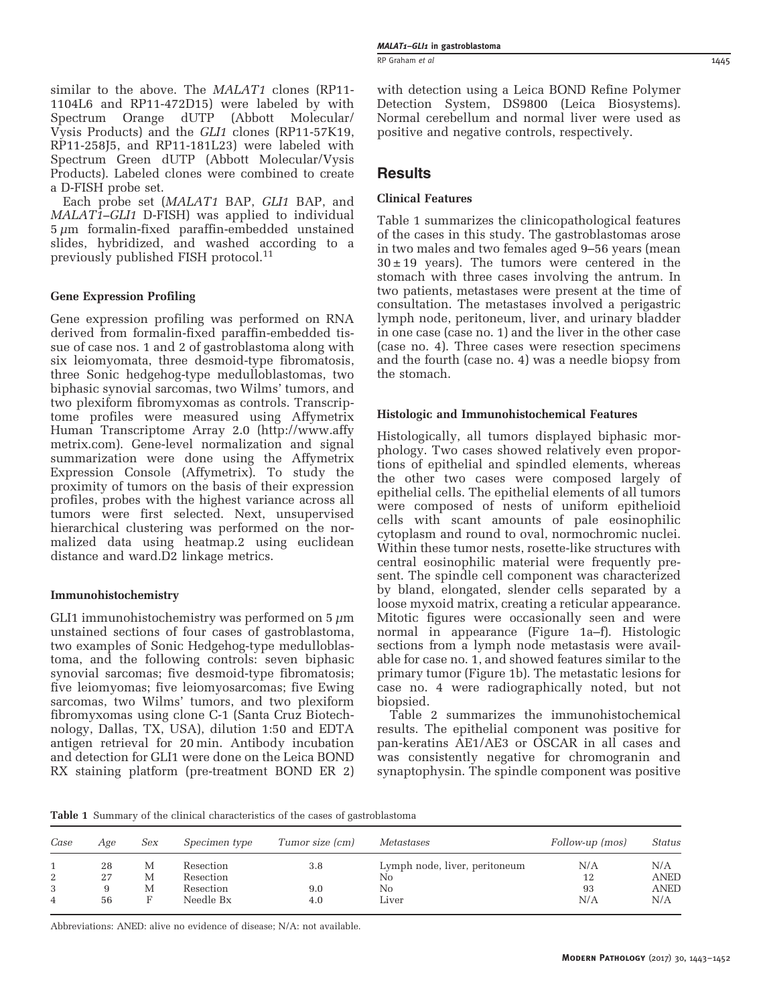similar to the above. The MALAT1 clones (RP11-1104L6 and RP11-472D15) were labeled by with Spectrum Orange dUTP Vysis Products) and the GLI1 clones (RP11-57K19, RP11-258J5, and RP11-181L23) were labeled with Spectrum Green dUTP (Abbott Molecular/Vysis Products). Labeled clones were combined to create a D-FISH probe set.

Each probe set (MALAT1 BAP, GLI1 BAP, and MALAT1–GLI1 D-FISH) was applied to individual  $5 \mu m$  formalin-fixed paraffin-embedded unstained slides, hybridized, and washed according to a previously published FISH protocol.[11](#page-8-0)

# Gene Expression Profiling

Gene expression profiling was performed on RNA derived from formalin-fixed paraffin-embedded tissue of case nos. 1 and 2 of gastroblastoma along with six leiomyomata, three desmoid-type fibromatosis, three Sonic hedgehog-type medulloblastomas, two biphasic synovial sarcomas, two Wilms' tumors, and two plexiform fibromyxomas as controls. Transcriptome profiles were measured using Affymetrix Human Transcriptome Array 2.0 ([http://www.affy](http://www.affymetrix.com) [metrix.com](http://www.affymetrix.com)). Gene-level normalization and signal summarization were done using the Affymetrix Expression Console (Affymetrix). To study the proximity of tumors on the basis of their expression profiles, probes with the highest variance across all tumors were first selected. Next, unsupervised hierarchical clustering was performed on the normalized data using heatmap.2 using euclidean distance and ward.D2 linkage metrics.

# Immunohistochemistry

GLI1 immunohistochemistry was performed on  $5 \mu m$ unstained sections of four cases of gastroblastoma, two examples of Sonic Hedgehog-type medulloblastoma, and the following controls: seven biphasic synovial sarcomas; five desmoid-type fibromatosis; five leiomyomas; five leiomyosarcomas; five Ewing sarcomas, two Wilms' tumors, and two plexiform fibromyxomas using clone C-1 (Santa Cruz Biotechnology, Dallas, TX, USA), dilution 1:50 and EDTA antigen retrieval for 20 min. Antibody incubation and detection for GLI1 were done on the Leica BOND RX staining platform (pre-treatment BOND ER 2) with detection using a Leica BOND Refine Polymer Detection System, DS9800 (Leica Biosystems). Normal cerebellum and normal liver were used as positive and negative controls, respectively.

# **Results**

## Clinical Features

Table 1 summarizes the clinicopathological features of the cases in this study. The gastroblastomas arose in two males and two females aged 9–56 years (mean  $30 \pm 19$  years). The tumors were centered in the stomach with three cases involving the antrum. In two patients, metastases were present at the time of consultation. The metastases involved a perigastric lymph node, peritoneum, liver, and urinary bladder in one case (case no. 1) and the liver in the other case (case no. 4). Three cases were resection specimens and the fourth (case no. 4) was a needle biopsy from the stomach.

#### Histologic and Immunohistochemical Features

Histologically, all tumors displayed biphasic morphology. Two cases showed relatively even proportions of epithelial and spindled elements, whereas the other two cases were composed largely of epithelial cells. The epithelial elements of all tumors were composed of nests of uniform epithelioid cells with scant amounts of pale eosinophilic cytoplasm and round to oval, normochromic nuclei. Within these tumor nests, rosette-like structures with central eosinophilic material were frequently present. The spindle cell component was characterized by bland, elongated, slender cells separated by a loose myxoid matrix, creating a reticular appearance. Mitotic figures were occasionally seen and were normal in appearance ([Figure 1a](#page-3-0)–f). Histologic sections from a lymph node metastasis were available for case no. 1, and showed features similar to the primary tumor ([Figure 1b\)](#page-3-0). The metastatic lesions for case no. 4 were radiographically noted, but not biopsied.

[Table 2](#page-4-0) summarizes the immunohistochemical results. The epithelial component was positive for pan-keratins AE1/AE3 or OSCAR in all cases and was consistently negative for chromogranin and synaptophysin. The spindle component was positive

Table 1 Summary of the clinical characteristics of the cases of gastroblastoma

| Case   | Age      | Sex    | Specimen type          | Tumor size (cm) | Metastases                          | Follow-up (mos) | Status             |
|--------|----------|--------|------------------------|-----------------|-------------------------------------|-----------------|--------------------|
| 2      | 28<br>27 | М<br>М | Resection<br>Resection | 3.8             | Lymph node, liver, peritoneum<br>No | N/A<br>12       | N/A<br><b>ANED</b> |
| 3<br>4 | 56       | M      | Resection<br>Needle Bx | 9.0<br>4.0      | No<br>Liver                         | 93<br>N/A       | <b>ANED</b><br>N/A |

Abbreviations: ANED: alive no evidence of disease; N/A: not available.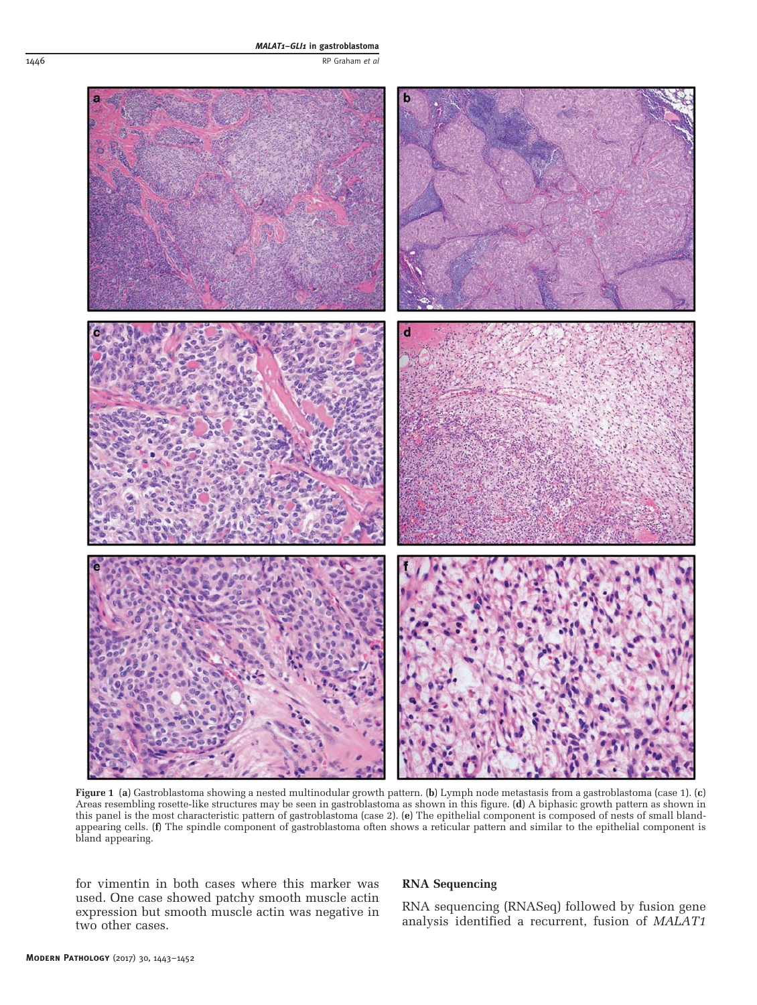<span id="page-3-0"></span>

Figure 1 (a) Gastroblastoma showing a nested multinodular growth pattern. (b) Lymph node metastasis from a gastroblastoma (case 1). (c) Areas resembling rosette-like structures may be seen in gastroblastoma as shown in this figure. (d) A biphasic growth pattern as shown in this panel is the most characteristic pattern of gastroblastoma (case 2). (e) The epithelial component is composed of nests of small blandappearing cells. (f) The spindle component of gastroblastoma often shows a reticular pattern and similar to the epithelial component is bland appearing.

for vimentin in both cases where this marker was used. One case showed patchy smooth muscle actin expression but smooth muscle actin was negative in two other cases.

#### RNA Sequencing

RNA sequencing (RNASeq) followed by fusion gene analysis identified a recurrent, fusion of MALAT1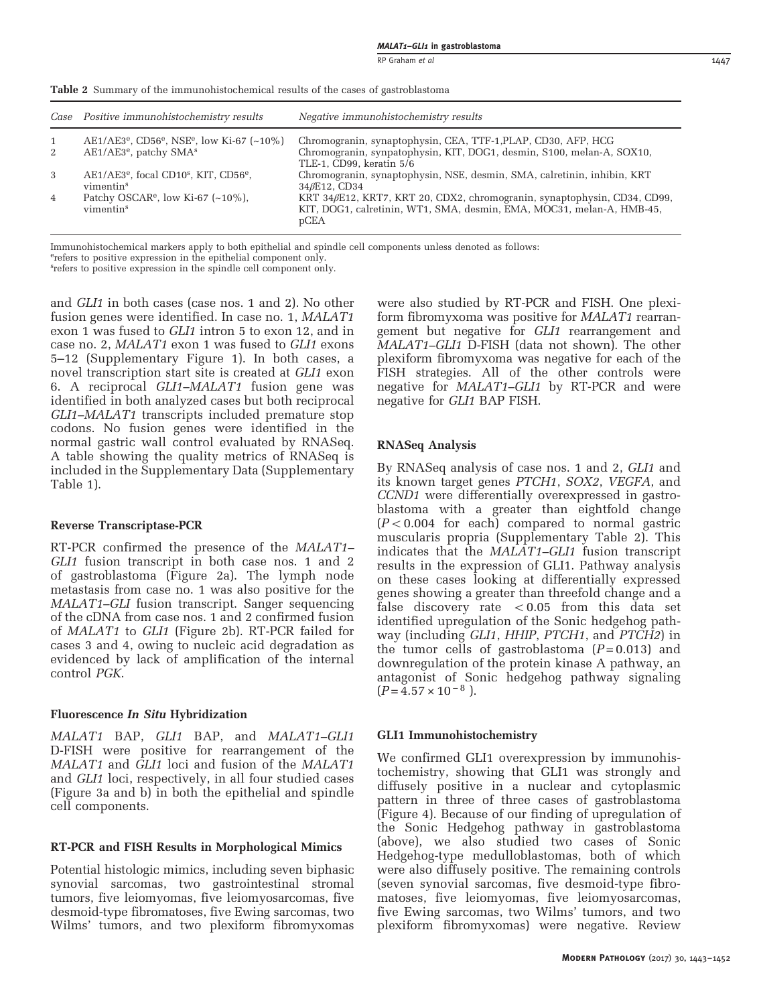Case Positive immunohistochemistry results Negative immunohistochemistry results 1 AE1/AE3<sup>e</sup>, CD56<sup>e</sup>, NSE<sup>e</sup>, low Ki-67 (~10%) Chromogranin, synaptophysin, CEA, TTF-1, PLAP, CD30, AFP, HCG<br>2 AE1/AE3<sup>e</sup>, patchy SMA<sup>s</sup> Chromogranin, synpatophysin, KIT, DOG1, desmin, S100, melan-A, Chromogranin, synpatophysin, KIT, DOG1, desmin, S100, melan-A, SOX10, TLE-1, CD99, keratin 5/6 3 AE1/AE3<sup>e</sup>, focal CD10<sup>s</sup>, KIT, CD56<sup>e</sup>, vimentins Chromogranin, synaptophysin, NSE, desmin, SMA, calretinin, inhibin, KRT 34βE12, CD34 4 Patchy OSCAR<sup>e</sup>, low Ki-67  $(\sim 10\%)$ , vimentins KRT 34βE12, KRT7, KRT 20, CDX2, chromogranin, synaptophysin, CD34, CD99, KIT, DOG1, calretinin, WT1, SMA, desmin, EMA, MOC31, melan-A, HMB-45, pCEA

<span id="page-4-0"></span>Table 2 Summary of the immunohistochemical results of the cases of gastroblastoma

Immunohistochemical markers apply to both epithelial and spindle cell components unless denoted as follows:

erefers to positive expression in the epithelial component only.

s refers to positive expression in the spindle cell component only.

and GLI1 in both cases (case nos. 1 and 2). No other fusion genes were identified. In case no. 1, MALAT1 exon 1 was fused to GLI1 intron 5 to exon 12, and in case no. 2, MALAT1 exon 1 was fused to GLI1 exons 5–12 (Supplementary Figure 1). In both cases, a novel transcription start site is created at GLI1 exon 6. A reciprocal GLI1–MALAT1 fusion gene was identified in both analyzed cases but both reciprocal GLI1–MALAT1 transcripts included premature stop codons. No fusion genes were identified in the normal gastric wall control evaluated by RNASeq. A table showing the quality metrics of RNASeq is included in the Supplementary Data (Supplementary Table 1).

#### Reverse Transcriptase-PCR

RT-PCR confirmed the presence of the MALAT1– GLI1 fusion transcript in both case nos. 1 and 2 of gastroblastoma ([Figure 2a\)](#page-5-0). The lymph node metastasis from case no. 1 was also positive for the MALAT1–GLI fusion transcript. Sanger sequencing of the cDNA from case nos. 1 and 2 confirmed fusion of MALAT1 to GLI1 ([Figure 2b](#page-5-0)). RT-PCR failed for cases 3 and 4, owing to nucleic acid degradation as evidenced by lack of amplification of the internal control PGK.

# Fluorescence In Situ Hybridization

MALAT1 BAP, GLI1 BAP, and MALAT1–GLI1 D-FISH were positive for rearrangement of the MALAT1 and GLI1 loci and fusion of the MALAT1 and GLI1 loci, respectively, in all four studied cases ([Figure 3a and b\)](#page-6-0) in both the epithelial and spindle cell components.

# RT-PCR and FISH Results in Morphological Mimics

Potential histologic mimics, including seven biphasic synovial sarcomas, two gastrointestinal stromal tumors, five leiomyomas, five leiomyosarcomas, five desmoid-type fibromatoses, five Ewing sarcomas, two Wilms' tumors, and two plexiform fibromyxomas

were also studied by RT-PCR and FISH. One plexiform fibromyxoma was positive for MALAT1 rearrangement but negative for GLI1 rearrangement and MALAT1–GLI1 D-FISH (data not shown). The other plexiform fibromyxoma was negative for each of the FISH strategies. All of the other controls were negative for MALAT1–GLI1 by RT-PCR and were negative for GLI1 BAP FISH.

# RNASeq Analysis

By RNASeq analysis of case nos. 1 and 2, *GLI1* and its known target genes PTCH1, SOX2, VEGFA, and CCND1 were differentially overexpressed in gastroblastoma with a greater than eightfold change  $(P<0.004$  for each) compared to normal gastric muscularis propria (Supplementary Table 2). This indicates that the MALAT1–GLI1 fusion transcript results in the expression of GLI1. Pathway analysis on these cases looking at differentially expressed genes showing a greater than threefold change and a false discovery rate  $< 0.05$  from this data set identified upregulation of the Sonic hedgehog pathway (including GLI1, HHIP, PTCH1, and PTCH2) in the tumor cells of gastroblastoma  $(P=0.013)$  and downregulation of the protein kinase A pathway, an antagonist of Sonic hedgehog pathway signaling  $(P = 4.57 \times 10^{-8})$ .

#### GLI1 Immunohistochemistry

We confirmed GLI1 overexpression by immunohistochemistry, showing that GLI1 was strongly and diffusely positive in a nuclear and cytoplasmic pattern in three of three cases of gastroblastoma ([Figure 4\)](#page-6-0). Because of our finding of upregulation of the Sonic Hedgehog pathway in gastroblastoma (above), we also studied two cases of Sonic Hedgehog-type medulloblastomas, both of which were also diffusely positive. The remaining controls (seven synovial sarcomas, five desmoid-type fibromatoses, five leiomyomas, five leiomyosarcomas, five Ewing sarcomas, two Wilms' tumors, and two plexiform fibromyxomas) were negative. Review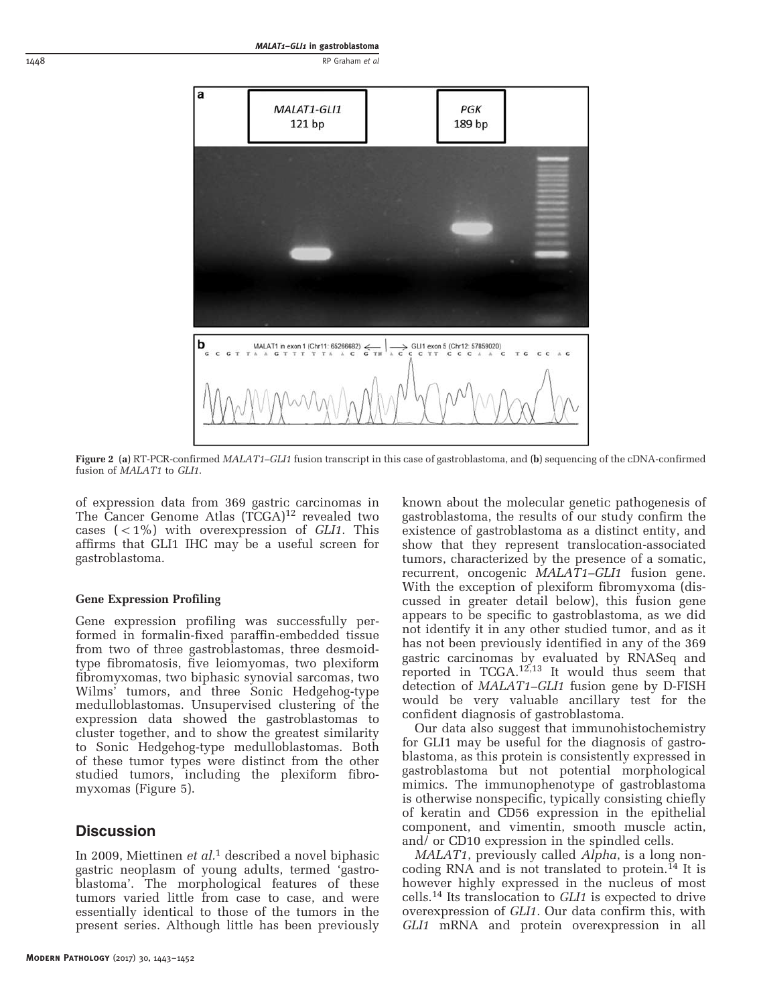<span id="page-5-0"></span>

Figure 2 (a) RT-PCR-confirmed MALAT1-GLI1 fusion transcript in this case of gastroblastoma, and (b) sequencing of the cDNA-confirmed fusion of MALAT1 to GLI1.

of expression data from 369 gastric carcinomas in The Cancer Genome Atlas (TCGA)<sup>[12](#page-8-0)</sup> revealed two cases  $(<1%)$  with overexpression of *GLI1*. This affirms that GLI1 IHC may be a useful screen for gastroblastoma.

#### Gene Expression Profiling

Gene expression profiling was successfully performed in formalin-fixed paraffin-embedded tissue from two of three gastroblastomas, three desmoidtype fibromatosis, five leiomyomas, two plexiform fibromyxomas, two biphasic synovial sarcomas, two Wilms' tumors, and three Sonic Hedgehog-type medulloblastomas. Unsupervised clustering of the expression data showed the gastroblastomas to cluster together, and to show the greatest similarity to Sonic Hedgehog-type medulloblastomas. Both of these tumor types were distinct from the other studied tumors, including the plexiform fibromyxomas ([Figure 5\)](#page-7-0).

# **Discussion**

In 2009, Miettinen et  $al$ <sup>[1](#page-8-0)</sup> described a novel biphasic gastric neoplasm of young adults, termed 'gastroblastoma'. The morphological features of these tumors varied little from case to case, and were essentially identical to those of the tumors in the present series. Although little has been previously

known about the molecular genetic pathogenesis of gastroblastoma, the results of our study confirm the existence of gastroblastoma as a distinct entity, and show that they represent translocation-associated tumors, characterized by the presence of a somatic, recurrent, oncogenic MALAT1–GLI1 fusion gene. With the exception of plexiform fibromyxoma (discussed in greater detail below), this fusion gene appears to be specific to gastroblastoma, as we did not identify it in any other studied tumor, and as it has not been previously identified in any of the 369 gastric carcinomas by evaluated by RNASeq and reported in TCGA.[12,13](#page-8-0) It would thus seem that detection of MALAT1–GLI1 fusion gene by D-FISH would be very valuable ancillary test for the confident diagnosis of gastroblastoma.

Our data also suggest that immunohistochemistry for GLI1 may be useful for the diagnosis of gastroblastoma, as this protein is consistently expressed in gastroblastoma but not potential morphological mimics. The immunophenotype of gastroblastoma is otherwise nonspecific, typically consisting chiefly of keratin and CD56 expression in the epithelial component, and vimentin, smooth muscle actin, and/ or CD10 expression in the spindled cells.

MALAT1, previously called Alpha, is a long non-coding RNA and is not translated to protein.<sup>[14](#page-8-0)</sup> It is however highly expressed in the nucleus of most cells.[14](#page-8-0) Its translocation to GLI1 is expected to drive overexpression of GLI1. Our data confirm this, with GLI1 mRNA and protein overexpression in all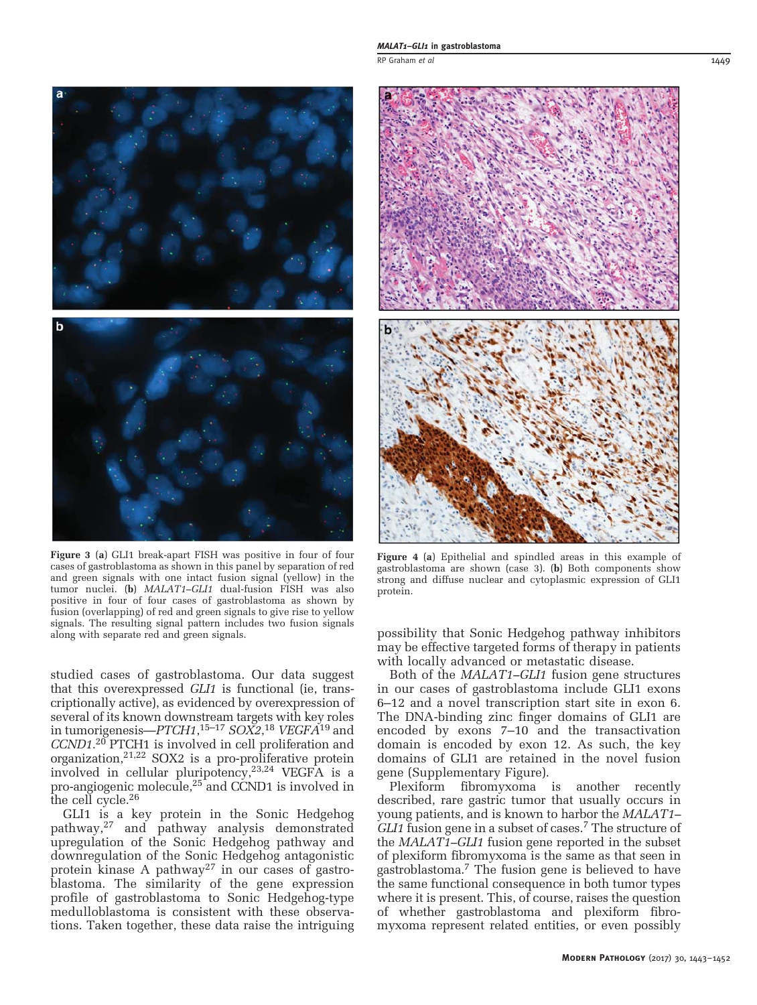<span id="page-6-0"></span>

Figure 3 (a) GLI1 break-apart FISH was positive in four of four cases of gastroblastoma as shown in this panel by separation of red and green signals with one intact fusion signal (yellow) in the tumor nuclei. (b) MALAT1–GLI1 dual-fusion FISH was also positive in four of four cases of gastroblastoma as shown by fusion (overlapping) of red and green signals to give rise to yellow signals. The resulting signal pattern includes two fusion signals along with separate red and green signals.

studied cases of gastroblastoma. Our data suggest that this overexpressed GLI1 is functional (ie, transcriptionally active), as evidenced by overexpression of several of its known downstream targets with key roles in tumorigenesis— $PTCH1, ^{15-17}$  $PTCH1, ^{15-17}$  $PTCH1, ^{15-17}$  SOX2, $^{18}$  $^{18}$  $^{18}$  VEGFA $^{\rm 19}$  $^{\rm 19}$  $^{\rm 19}$  and CCND1.[20](#page-8-0) PTCH1 is involved in cell proliferation and organization,  $2^{1,22}$  SOX2 is a pro-proliferative protein involved in cellular pluripotency,[23,24](#page-8-0) VEGFA is a pro-angiogenic molecule[,25](#page-8-0) and CCND1 is involved in the cell cycle[.26](#page-8-0)

GLI1 is a key protein in the Sonic Hedgehog pathway,[27](#page-8-0) and pathway analysis demonstrated upregulation of the Sonic Hedgehog pathway and downregulation of the Sonic Hedgehog antagonistic protein kinase A pathway<sup>[27](#page-8-0)</sup> in our cases of gastroblastoma. The similarity of the gene expression profile of gastroblastoma to Sonic Hedgehog-type medulloblastoma is consistent with these observations. Taken together, these data raise the intriguing



Figure 4 (a) Epithelial and spindled areas in this example of gastroblastoma are shown (case 3). (b) Both components show strong and diffuse nuclear and cytoplasmic expression of GLI1 protein.

possibility that Sonic Hedgehog pathway inhibitors may be effective targeted forms of therapy in patients with locally advanced or metastatic disease.

Both of the MALAT1–GLI1 fusion gene structures in our cases of gastroblastoma include GLI1 exons 6–12 and a novel transcription start site in exon 6. The DNA-binding zinc finger domains of GLI1 are encoded by exons 7–10 and the transactivation domain is encoded by exon 12. As such, the key domains of GLI1 are retained in the novel fusion gene (Supplementary Figure).

Plexiform fibromyxoma is another recently described, rare gastric tumor that usually occurs in young patients, and is known to harbor the MALAT1– GLI1 fusion gene in a subset of cases.<sup>7</sup> The structure of the MALAT1–GLI1 fusion gene reported in the subset of plexiform fibromyxoma is the same as that seen in gastroblastoma[.7](#page-8-0) The fusion gene is believed to have the same functional consequence in both tumor types where it is present. This, of course, raises the question of whether gastroblastoma and plexiform fibromyxoma represent related entities, or even possibly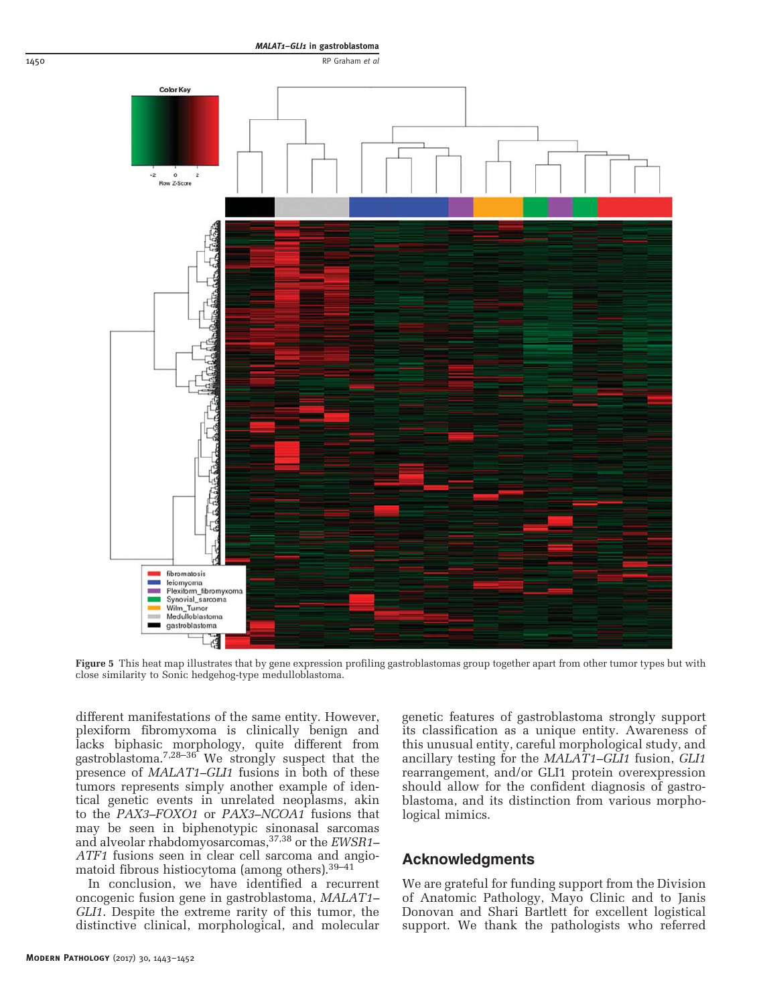

<span id="page-7-0"></span>

Figure 5 This heat map illustrates that by gene expression profiling gastroblastomas group together apart from other tumor types but with close similarity to Sonic hedgehog-type medulloblastoma.

different manifestations of the same entity. However, plexiform fibromyxoma is clinically benign and lacks biphasic morphology, quite different from gastroblastoma[.7,28](#page-8-0)–<sup>36</sup> We strongly suspect that the presence of MALAT1–GLI1 fusions in both of these tumors represents simply another example of identical genetic events in unrelated neoplasms, akin to the PAX3–FOXO1 or PAX3–NCOA1 fusions that may be seen in biphenotypic sinonasal sarcomas and alveolar rhabdomyosarcomas[,37,38](#page-9-0) or the EWSR1– ATF1 fusions seen in clear cell sarcoma and angiomatoid fibrous histiocytoma (among others).[39](#page-9-0)–<sup>41</sup>

In conclusion, we have identified a recurrent oncogenic fusion gene in gastroblastoma, MALAT1– GLI1. Despite the extreme rarity of this tumor, the distinctive clinical, morphological, and molecular genetic features of gastroblastoma strongly support its classification as a unique entity. Awareness of this unusual entity, careful morphological study, and ancillary testing for the MALAT1–GLI1 fusion, GLI1 rearrangement, and/or GLI1 protein overexpression should allow for the confident diagnosis of gastroblastoma, and its distinction from various morphological mimics.

# Acknowledgments

We are grateful for funding support from the Division of Anatomic Pathology, Mayo Clinic and to Janis Donovan and Shari Bartlett for excellent logistical support. We thank the pathologists who referred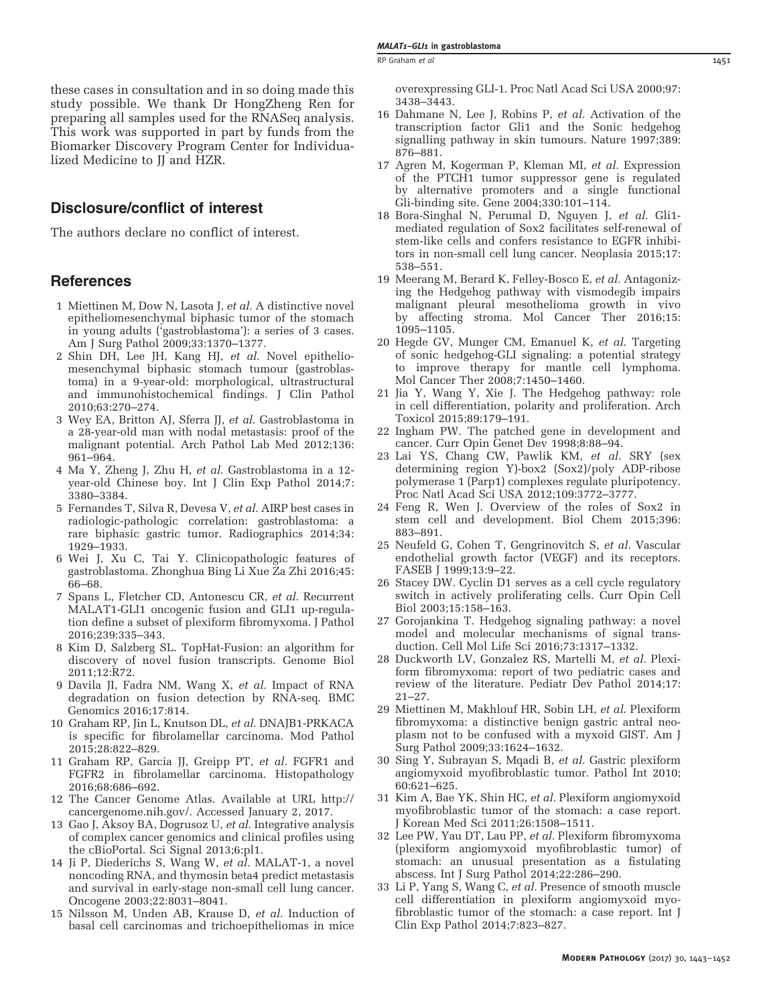<span id="page-8-0"></span>these cases in consultation and in so doing made this study possible. We thank Dr HongZheng Ren for preparing all samples used for the RNASeq analysis. This work was supported in part by funds from the Biomarker Discovery Program Center for Individualized Medicine to JJ and HZR.

# Disclosure/conflict of interest

The authors declare no conflict of interest.

# **References**

- 1 Miettinen M, Dow N, Lasota J, et al. A distinctive novel epitheliomesenchymal biphasic tumor of the stomach in young adults ('gastroblastoma'): a series of 3 cases. Am J Surg Pathol 2009;33:1370–1377.
- 2 Shin DH, Lee JH, Kang HJ, et al. Novel epitheliomesenchymal biphasic stomach tumour (gastroblastoma) in a 9-year-old: morphological, ultrastructural and immunohistochemical findings. J Clin Pathol 2010;63:270–274.
- 3 Wey EA, Britton AJ, Sferra JJ, et al. Gastroblastoma in a 28-year-old man with nodal metastasis: proof of the malignant potential. Arch Pathol Lab Med 2012;136: 961–964.
- 4 Ma Y, Zheng J, Zhu H, et al. Gastroblastoma in a 12 year-old Chinese boy. Int J Clin Exp Pathol 2014;7: 3380–3384.
- 5 Fernandes T, Silva R, Devesa V, et al. AIRP best cases in radiologic-pathologic correlation: gastroblastoma: a rare biphasic gastric tumor. Radiographics 2014;34: 1929–1933.
- 6 Wei J, Xu C, Tai Y. Clinicopathologic features of gastroblastoma. Zhonghua Bing Li Xue Za Zhi 2016;45: 66–68.
- 7 Spans L, Fletcher CD, Antonescu CR, et al. Recurrent MALAT1-GLI1 oncogenic fusion and GLI1 up-regulation define a subset of plexiform fibromyxoma. J Pathol 2016;239:335–343.
- 8 Kim D, Salzberg SL. TopHat-Fusion: an algorithm for discovery of novel fusion transcripts. Genome Biol 2011;12:R72.
- 9 Davila JI, Fadra NM, Wang X, et al. Impact of RNA degradation on fusion detection by RNA-seq. BMC Genomics 2016;17:814.
- 10 Graham RP, Jin L, Knutson DL, et al. DNAJB1-PRKACA is specific for fibrolamellar carcinoma. Mod Pathol 2015;28:822–829.
- 11 Graham RP, Garcia JJ, Greipp PT, et al. FGFR1 and FGFR2 in fibrolamellar carcinoma. Histopathology 2016;68:686–692.
- 12 The Cancer Genome Atlas. Available at URL [http://](http://cancergenome.nih.gov/) [cancergenome.nih.gov/](http://cancergenome.nih.gov/). Accessed January 2, 2017.
- 13 Gao J, Aksoy BA, Dogrusoz U, et al. Integrative analysis of complex cancer genomics and clinical profiles using the cBioPortal. Sci Signal 2013;6:pl1.
- 14 Ji P, Diederichs S, Wang W, et al. MALAT-1, a novel noncoding RNA, and thymosin beta4 predict metastasis and survival in early-stage non-small cell lung cancer. Oncogene 2003;22:8031–8041.
- 15 Nilsson M, Unden AB, Krause D, et al. Induction of basal cell carcinomas and trichoepitheliomas in mice

overexpressing GLI-1. Proc Natl Acad Sci USA 2000;97: 3438–3443.

- 16 Dahmane N, Lee J, Robins P, et al. Activation of the transcription factor Gli1 and the Sonic hedgehog signalling pathway in skin tumours. Nature 1997;389: 876–881.
- 17 Agren M, Kogerman P, Kleman MI, et al. Expression of the PTCH1 tumor suppressor gene is regulated by alternative promoters and a single functional Gli-binding site. Gene 2004;330:101–114.
- 18 Bora-Singhal N, Perumal D, Nguyen J, et al. Gli1 mediated regulation of Sox2 facilitates self-renewal of stem-like cells and confers resistance to EGFR inhibitors in non-small cell lung cancer. Neoplasia 2015;17: 538–551.
- 19 Meerang M, Berard K, Felley-Bosco E, et al. Antagonizing the Hedgehog pathway with vismodegib impairs malignant pleural mesothelioma growth in vivo by affecting stroma. Mol Cancer Ther 2016;15: 1095–1105.
- 20 Hegde GV, Munger CM, Emanuel K, et al. Targeting of sonic hedgehog-GLI signaling: a potential strategy to improve therapy for mantle cell lymphoma. Mol Cancer Ther 2008;7:1450–1460.
- 21 Jia Y, Wang Y, Xie J. The Hedgehog pathway: role in cell differentiation, polarity and proliferation. Arch Toxicol 2015;89:179–191.
- 22 Ingham PW. The patched gene in development and cancer. Curr Opin Genet Dev 1998;8:88–94.
- 23 Lai YS, Chang CW, Pawlik KM, et al. SRY (sex determining region Y)-box2 (Sox2)/poly ADP-ribose polymerase 1 (Parp1) complexes regulate pluripotency. Proc Natl Acad Sci USA 2012;109:3772–3777.
- 24 Feng R, Wen J. Overview of the roles of Sox2 in stem cell and development. Biol Chem 2015;396: 883–891.
- 25 Neufeld G, Cohen T, Gengrinovitch S, et al. Vascular endothelial growth factor (VEGF) and its receptors. FASEB J 1999;13:9–22.
- 26 Stacey DW. Cyclin D1 serves as a cell cycle regulatory switch in actively proliferating cells. Curr Opin Cell Biol 2003;15:158–163.
- 27 Gorojankina T. Hedgehog signaling pathway: a novel model and molecular mechanisms of signal transduction. Cell Mol Life Sci 2016;73:1317–1332.
- 28 Duckworth LV, Gonzalez RS, Martelli M, et al. Plexiform fibromyxoma: report of two pediatric cases and review of the literature. Pediatr Dev Pathol 2014;17:  $21 - 27$ .
- 29 Miettinen M, Makhlouf HR, Sobin LH, et al. Plexiform fibromyxoma: a distinctive benign gastric antral neoplasm not to be confused with a myxoid GIST. Am J Surg Pathol 2009;33:1624–1632.
- 30 Sing Y, Subrayan S, Mqadi B, et al. Gastric plexiform angiomyxoid myofibroblastic tumor. Pathol Int 2010; 60:621–625.
- 31 Kim A, Bae YK, Shin HC, et al. Plexiform angiomyxoid myofibroblastic tumor of the stomach: a case report. J Korean Med Sci 2011;26:1508–1511.
- 32 Lee PW, Yau DT, Lau PP, et al. Plexiform fibromyxoma (plexiform angiomyxoid myofibroblastic tumor) of stomach: an unusual presentation as a fistulating abscess. Int J Surg Pathol 2014;22:286–290.
- 33 Li P, Yang S, Wang C, et al. Presence of smooth muscle cell differentiation in plexiform angiomyxoid myofibroblastic tumor of the stomach: a case report. Int J Clin Exp Pathol 2014;7:823–827.